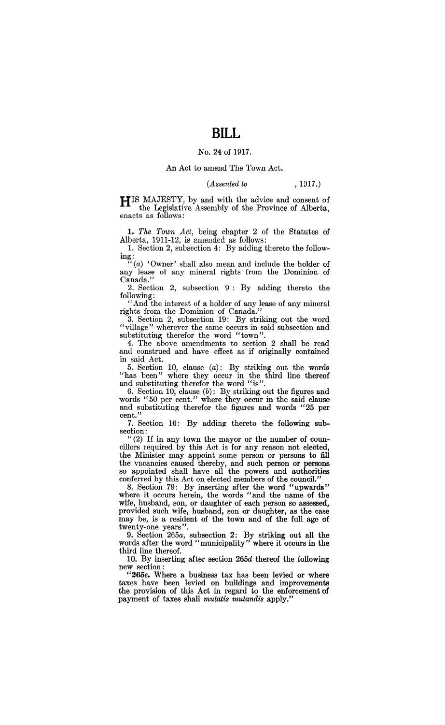## No. 24 of 1917.

## An Act to amend The Town Act.

## *(Assented to* , 1917.*)*

HIS MAJESTY, by and with the advice and consent of the Legislative Assembly of the Province of Alberta, enacts as follows:

*1. The Town Act,* being chapter 2 of the Statutes of Alberta,  $1911-12$ , is amended as follows:

. 1. Section 2, subsection 4: By adding thereto the follow- $\mathbf{ing} \colon$ 

 $\tilde{f}'(a)$  'Owner' shall also mean and include the holder of any lease of any mineral rights from the Dominion of Canada.'

2. Section 2, subsection 9: By adding thereto the following:

"And the interest of a holder of any lease of any mineral rights from the Dominion of Canada."

3. Section 2, subsection 19: By striking out the word "village" wherever the same occurs in said subsection and substituting therefor the word "town".

4. The above amendments to section 2 shall be read and construed and have effect as if originally contained in said Act.

5. Section 10, clause *(a):* By striking out the words "has been" where they occur in the third line thereof and substituting therefor the word "is".

6. Section 10, clause (b): By striking out the figures and words "50 per cent." where they occur in the said clause and substituting therefor the figures and words "25 per cent.'

7. Section 16: By adding thereto the following sub-

section:<br>"(2) If in any town the mayor or the number of councillors required by this Act is for any reason not elected, the Minister may appoint some person or persons to fill the vacancies caused thereby, and such person or persons so appointed shall have all the powers and authorities conferred by this Act on elected members of the council."

8. Section 79: By inserting after the word "upwards" where it occurs herein, the words "and the name of the wife, husband, son, or daughter of each person so assessed, provided such wife, husband, son or daughter, as the case may be, is a resident of the town and of the full age of twenty-one years".

9. Section *265a,* subsection 2: By striking out all the words after the word "municipality" where it occurs in the third line thereof.

10. By inserting after section *265d* thereof the following new section:

*"265e.* Where a business tax has been levied or where taxes have been levied on buildings and improvements the provision of this Act in regard to the enforcement of payment of taxes shall *mutatis mutandis* apply."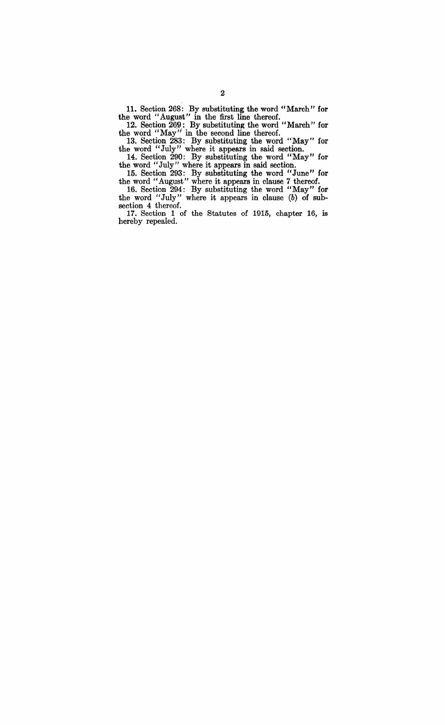11. Section 268: By substituting the word "March" for the word "August" in the first line thereof.

12. Section 269: By substituting the word "March" for the word "May" in the second line thereof.

13. Section 283: By substituting the word "May" for the word "July" where it appears in said section.

14. Section 290: By substituting the word "May" for the word" July" where it appears in said section.

15. Section 293: By substituting the word "June" for the word "August" where it appears in clause 7 thereof.

16. Section 294: By substituting the word "May" for the word "July" where it appears in clause (b) of subsection 4 thereof.

17. Section 1 of the Statutes of 1915, chapter 16, is hereby repealed.